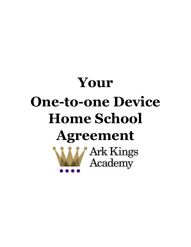# **Your One-to-one Device Home School AgreementWArk Kings**<br>Academy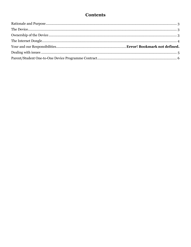# **Contents**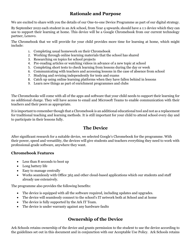## **Rationale and Purpose**

<span id="page-2-0"></span>We are excited to share with you the details of our One-to-one Device Programme as part of our digital strategy.

By September 2022 each student in an Ark school, from Year 4 upwards, should have a 1:1 device which they can use to support their learning at home. This device will be a Google Chromebook from our current technology partner, Lenovo.

The Chromebook that we will provide for your child provides more time for learning at home, which might include:

- 1. Completing usual homework on their Chromebook
- 2. Working through online learning materials that the school has shared
- 3. Researching on topics for school projects
- 4. Pre-reading articles or watching videos in advance of a new topic at school
- 5. Completing short tests to check learning from lessons during the day or week
- 6. Communicating with teachers and accessing lessons in the case of absence from school
- 7. Studying and revising independently for tests and exams
- 8. Catch up using online learning platforms when they have fallen behind in lessons
- 9. Learn new things as part of enrichment programmes and clubs

The Chromebooks will come with all of the apps and software that your child needs to support their learning for no additional charge. They will have access to email and Microsoft Teams to enable communication with their teachers and their peers as appropriate.

It is important to remember though that a Chromebook is an additional educational tool and not as a replacement for traditional teaching and learning methods. It is still important for your child to attend school every day and to participate in their lessons fully.

#### **The Device**

<span id="page-2-1"></span>After significant research for a suitable device, we selected Google's Chromebook for the programme. With their power, speed and versatility, the devices will give students and teachers everything they need to work with professional‐grade software, anywhere they want.

#### **Chromebook Features**

- Less than 8 seconds to boot up
- Long battery life
- Easy to manage centrally
- Works seamlessly with Office 365 and other cloud-based applications which our students and staff already use extensively.

The programme also provides the following benefits:

- The device is equipped with all the software required, including updates and upgrades.
- The device will seamlessly connect to the school's IT network both at School and at home
- The device is fully supported by the Ark IT Team.
- The device is under warranty against any hardware faults

## **Ownership of the Device**

<span id="page-2-2"></span>Ark Schools retains ownership of the device and grants permission to the student to use the device according to the guidelines set out in this document and in conjunction with our Acceptable Use Policy. Ark Schools retains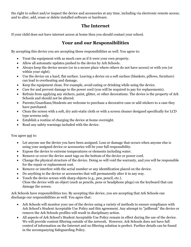the right to collect and/or inspect the device and accessories at any time, including via electronic remote access; and to alter, add, erase or delete installed software or hardware.

#### **The Internet**

<span id="page-3-0"></span>If your child does not have internet access at home then you should contact your school.

## **Your and our Responsibilities**

By accepting this device you are accepting these responsibilities as well. You agree to:

- Treat the equipment with as much care as if it were your own property.
- Allow all automatic updates pushed to the device by Ark Schools.
- Always keep the device secure (or in a secure place where others do not have access) or with you (or within your sight).
- Use the device on a hard, flat surface. Leaving a device on a soft surface (blankets, pillows, furniture) can lead to overheating and damage.
- Keep the equipment clean. For example, avoid eating or drinking while using the device.
- Care for and prevent damage to the power cord (you will be required to pay for replacements).
- Refrain from applying any stickers, paint, glitter, or other decorations. The device is the property of Ark Schools and should not be altered.
- Parents/Guardians/Students are welcome to purchase a decorative case or add stickers to a case they have purchased.
- Clean the screen with a soft, dry anti-static cloth or with a screen cleaner designed specifically for LCD type screens only.
- Establish a routine of charging the device at home overnight.
- Read any safety warnings included with the device.

You agree not to:

- Let anyone use the device you have been assigned. Loss or damage that occurs when anyone else is using your assigned device or accessories will be your full responsibility.
- Expose the device to extreme temperatures or elements including water.
- Remove or cover the device asset tags on the bottom of the device or power cord.
- Change the physical structure of the device. Doing so will void the warranty, and you will be responsible for the repair or replacement cost.
- Remove or interfere with the serial number or any identification placed on the device.
- Do anything to the device or accessories that will permanently alter it in any way.
- Touch the device screen with sharp objects (e.g., pen, pencil, etc.). Close the device with an object (such as pencils, pens or headphone plugs) on the keyboard that can damage the screen.

Ark Schools have responsibilities too. By accepting this device, you are accepting that Ark Schools can discharge our responsibilities as well. You agree that:

- Ark Schools will monitor your use of the device using a variety of methods to ensure compliance with Ark School's Student Acceptable Use Policy and this agreement. Any attempt to "jailbreak" the device or remove the Ark Schools profiles will result in disciplinary action.
- All aspects of Ark School's Student Acceptable Use Policy remain in effect during the use of the device. We will provide content filtering outside of the network. However, Ark Schools does not have full control of information on the Internet and no filtering solution is perfect. Further details can be found in the accompanying Safeguarding Policy.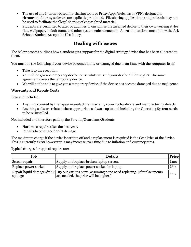- The use of any Internet-based file-sharing tools or Proxy Apps/websites or VPNs designed to circumvent filtering software are explicitly prohibited. File sharing applications and protocols may not be used to facilitate the illegal sharing of copyrighted material.
- Students are permitted to alter or add files to customise the assigned device to their own working styles (i.e., wallpaper, default fonts, and other system enhancements). All customisations must follow the Ark Schools Student Acceptable Use Policy.

# **Dealing with issues**

<span id="page-4-0"></span>The below process outlines how a student gets support for the digital strategy device that has been allocated to them.

You must do the following if your device becomes faulty or damaged due to an issue with the computer itself:

- Take it to the reception
- You will be given a temporary device to use while we send your device off for repairs. The same agreement covers the temporary device.
- We will not be able to give you a temporary device, if the device has become damaged due to negligence

#### **Warranty and Repair Costs**

Free and included:

- Anything covered by the 1-year manufacturer warranty covering hardware and manufacturing defects.
- Anything software related where appropriate software up to and including the Operating System needs to be re-installed.

Not included and therefore paid by the Parents/Guardians/Students

- Hardware repairs after the first year.
- Repairs to cover accidental damage.

The maximum charge if the device is written off and a replacement is required is the Cost Price of the device. This is currently £200 however this may increase over time due to inflation and currency rates.

Typical charges for typical repairs are:

| Job                  | <b>Details</b>                                                                                                                               | $\ $ Price $\ $ |
|----------------------|----------------------------------------------------------------------------------------------------------------------------------------------|-----------------|
| Screen repair        | Supply and replace broken laptop screen.                                                                                                     | £120            |
| Replace power socket | Supply and replace power socket for laptop.                                                                                                  | £60             |
| spillage             | Repair liquid damage/drink   Dry out various parts, assuming none need replacing. (If replacements<br>are needed, the price will be higher.) | E60             |